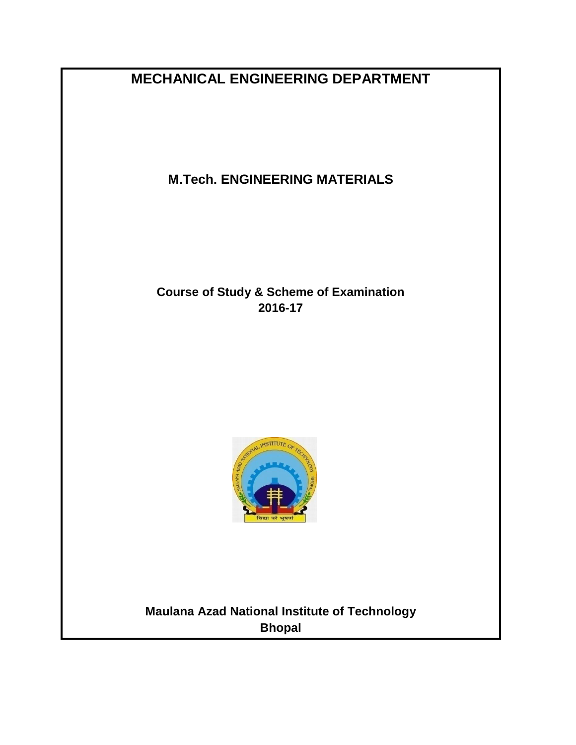**MECHANICAL ENGINEERING DEPARTMENT**

**M.Tech. ENGINEERING MATERIALS**

**Course of Study & Scheme of Examination 2016-17**



**Maulana Azad National Institute of Technology Bhopal**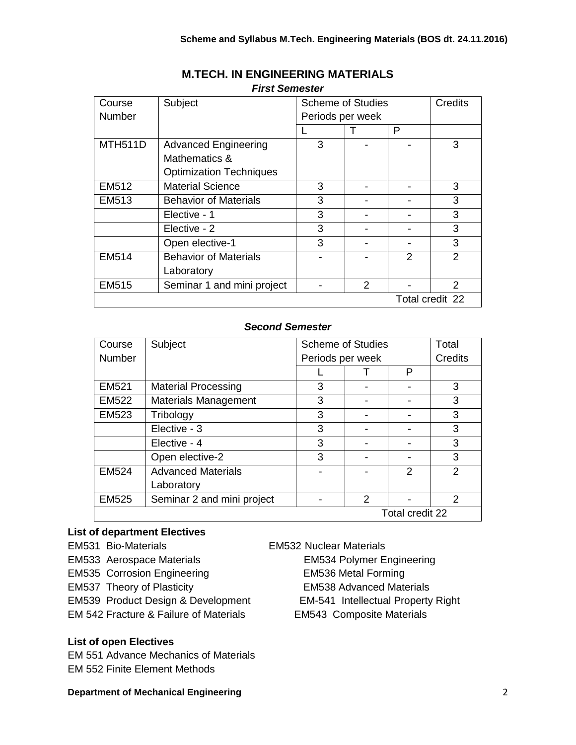| Course         | Subject                        | <b>Scheme of Studies</b> |               |               | <b>Credits</b>  |
|----------------|--------------------------------|--------------------------|---------------|---------------|-----------------|
| Number         |                                | Periods per week         |               |               |                 |
|                |                                |                          |               | P             |                 |
| <b>MTH511D</b> | <b>Advanced Engineering</b>    | 3                        |               |               | 3               |
|                | Mathematics &                  |                          |               |               |                 |
|                | <b>Optimization Techniques</b> |                          |               |               |                 |
| EM512          | <b>Material Science</b>        | 3                        |               |               | 3               |
| EM513          | <b>Behavior of Materials</b>   | 3                        |               |               | 3               |
|                | Elective - 1                   | 3                        |               |               | 3               |
|                | Elective - 2                   | 3                        |               |               | 3               |
|                | Open elective-1                | 3                        |               |               | 3               |
| EM514          | <b>Behavior of Materials</b>   |                          |               | $\mathcal{P}$ | $\mathcal{P}$   |
|                | Laboratory                     |                          |               |               |                 |
| EM515          | Seminar 1 and mini project     |                          | $\mathcal{P}$ |               | $\mathcal{P}$   |
|                |                                |                          |               |               | Total credit 22 |

# **M.TECH. IN ENGINEERING MATERIALS** *First Semester*

## *Second Semester*

| Course          | Subject                     | <b>Scheme of Studies</b> |               | Total         |               |
|-----------------|-----------------------------|--------------------------|---------------|---------------|---------------|
| Number          |                             | Periods per week         |               |               | Credits       |
|                 |                             |                          |               | P             |               |
| <b>EM521</b>    | <b>Material Processing</b>  | 3                        |               | ۰             | 3             |
| <b>EM522</b>    | <b>Materials Management</b> | 3                        |               |               | 3             |
| <b>EM523</b>    | Tribology                   | 3                        |               |               | 3             |
|                 | Elective - 3                | 3                        |               |               | 3             |
|                 | Elective - 4                | 3                        |               |               | 3             |
|                 | Open elective-2             | 3                        | -             |               | 3             |
| <b>EM524</b>    | <b>Advanced Materials</b>   |                          |               | $\mathcal{P}$ | $\mathcal{P}$ |
|                 | Laboratory                  |                          |               |               |               |
| <b>EM525</b>    | Seminar 2 and mini project  |                          | $\mathcal{P}$ |               | $\mathcal{P}$ |
| Total credit 22 |                             |                          |               |               |               |

### **List of department Electives**

EM531 Bio-Materials EM532 Nuclear Materials EM533 Aerospace Materials EM534 Polymer Engineering EM535 Corrosion Engineering EM536 Metal Forming EM537 Theory of Plasticity EM538 Advanced Materials EM539 Product Design & Development EM-541 Intellectual Property Right EM 542 Fracture & Failure of Materials EM543 Composite Materials

# **List of open Electives**

EM 551 Advance Mechanics of Materials EM 552 Finite Element Methods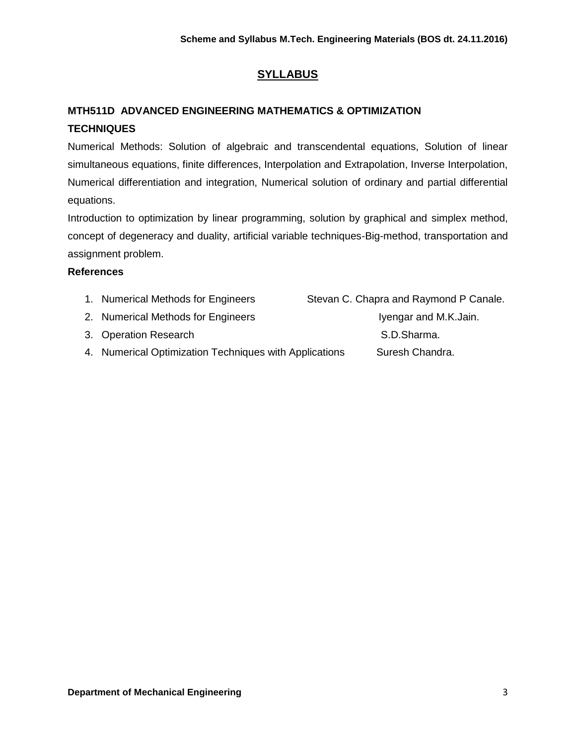# **SYLLABUS**

# **MTH511D ADVANCED ENGINEERING MATHEMATICS & OPTIMIZATION TECHNIQUES**

Numerical Methods: Solution of algebraic and transcendental equations, Solution of linear simultaneous equations, finite differences, Interpolation and Extrapolation, Inverse Interpolation, Numerical differentiation and integration, Numerical solution of ordinary and partial differential equations.

Introduction to optimization by linear programming, solution by graphical and simplex method, concept of degeneracy and duality, artificial variable techniques-Big-method, transportation and assignment problem.

| Stevan C. Chapra and Raymond P Canale.                                                                                                                      |
|-------------------------------------------------------------------------------------------------------------------------------------------------------------|
| Iyengar and M.K.Jain.                                                                                                                                       |
| S.D.Sharma.                                                                                                                                                 |
| Suresh Chandra.                                                                                                                                             |
| 1. Numerical Methods for Engineers<br>2. Numerical Methods for Engineers<br>3. Operation Research<br>4. Numerical Optimization Techniques with Applications |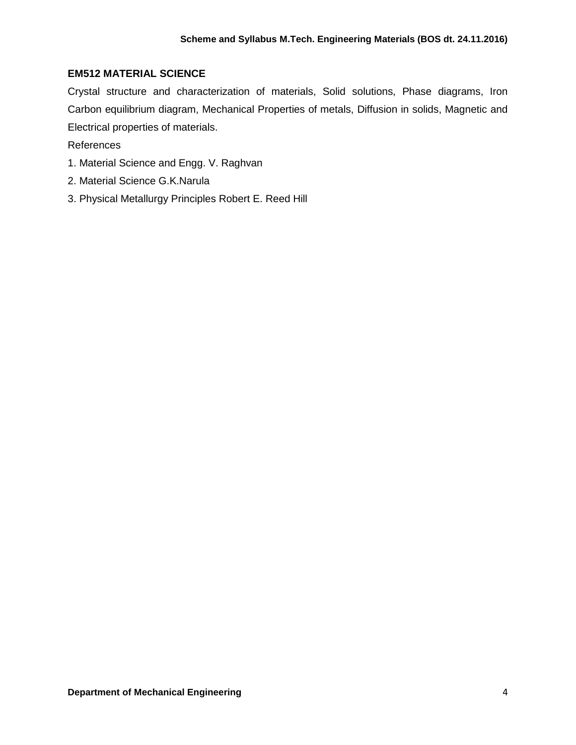### **EM512 MATERIAL SCIENCE**

Crystal structure and characterization of materials, Solid solutions, Phase diagrams, Iron Carbon equilibrium diagram, Mechanical Properties of metals, Diffusion in solids, Magnetic and Electrical properties of materials.

- 1. Material Science and Engg. V. Raghvan
- 2. Material Science G.K.Narula
- 3. Physical Metallurgy Principles Robert E. Reed Hill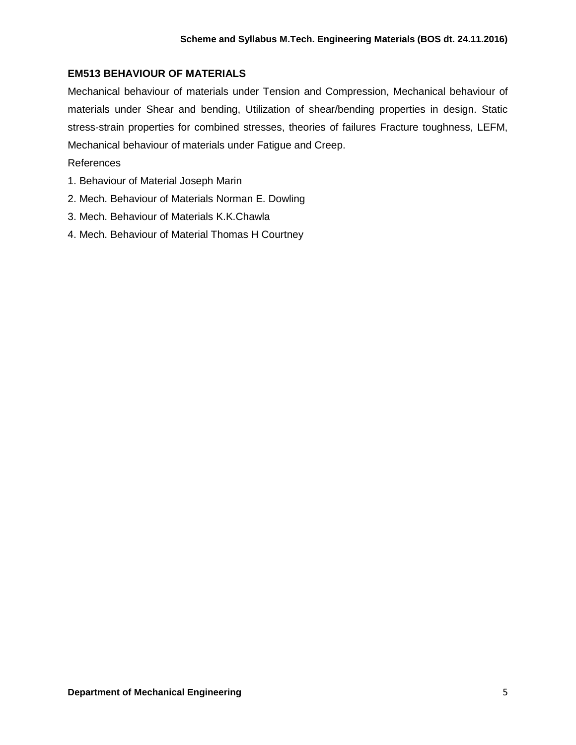# **EM513 BEHAVIOUR OF MATERIALS**

Mechanical behaviour of materials under Tension and Compression, Mechanical behaviour of materials under Shear and bending, Utilization of shear/bending properties in design. Static stress-strain properties for combined stresses, theories of failures Fracture toughness, LEFM, Mechanical behaviour of materials under Fatigue and Creep.

- References
- 1. Behaviour of Material Joseph Marin
- 2. Mech. Behaviour of Materials Norman E. Dowling
- 3. Mech. Behaviour of Materials K.K.Chawla
- 4. Mech. Behaviour of Material Thomas H Courtney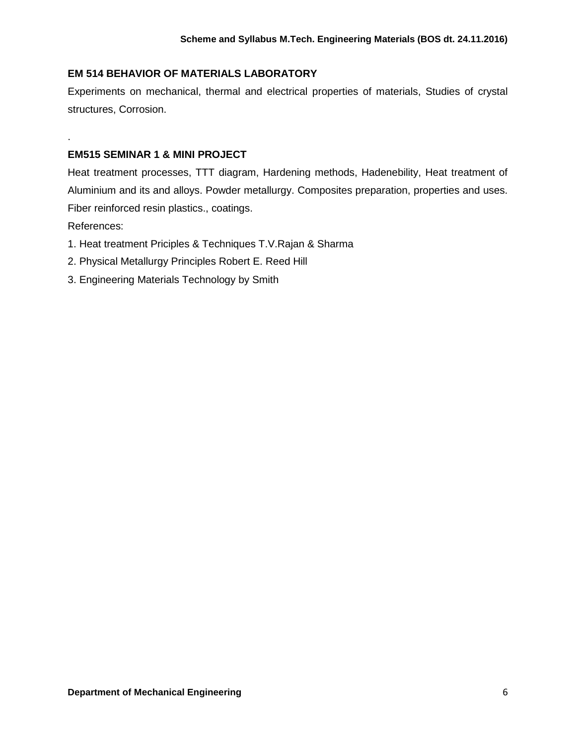# **EM 514 BEHAVIOR OF MATERIALS LABORATORY**

Experiments on mechanical, thermal and electrical properties of materials, Studies of crystal structures, Corrosion.

## **EM515 SEMINAR 1 & MINI PROJECT**

Heat treatment processes, TTT diagram, Hardening methods, Hadenebility, Heat treatment of Aluminium and its and alloys. Powder metallurgy. Composites preparation, properties and uses. Fiber reinforced resin plastics., coatings.

References:

.

- 1. Heat treatment Priciples & Techniques T.V.Rajan & Sharma
- 2. Physical Metallurgy Principles Robert E. Reed Hill
- 3. Engineering Materials Technology by Smith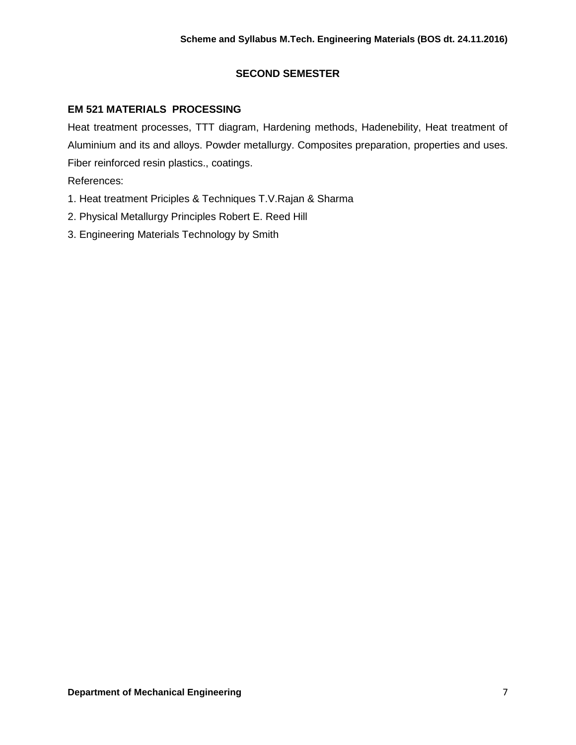# **SECOND SEMESTER**

# **EM 521 MATERIALS PROCESSING**

Heat treatment processes, TTT diagram, Hardening methods, Hadenebility, Heat treatment of Aluminium and its and alloys. Powder metallurgy. Composites preparation, properties and uses. Fiber reinforced resin plastics., coatings.

- 1. Heat treatment Priciples & Techniques T.V.Rajan & Sharma
- 2. Physical Metallurgy Principles Robert E. Reed Hill
- 3. Engineering Materials Technology by Smith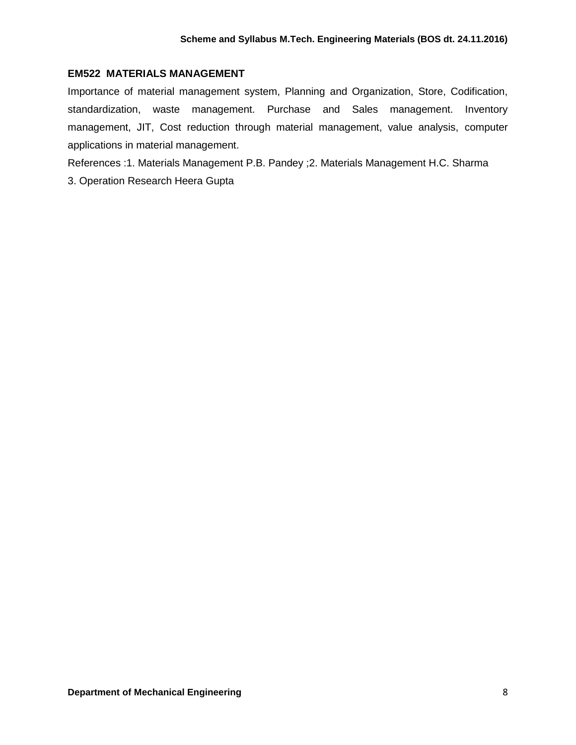## **EM522 MATERIALS MANAGEMENT**

Importance of material management system, Planning and Organization, Store, Codification, standardization, waste management. Purchase and Sales management. Inventory management, JIT, Cost reduction through material management, value analysis, computer applications in material management.

References :1. Materials Management P.B. Pandey ;2. Materials Management H.C. Sharma

3. Operation Research Heera Gupta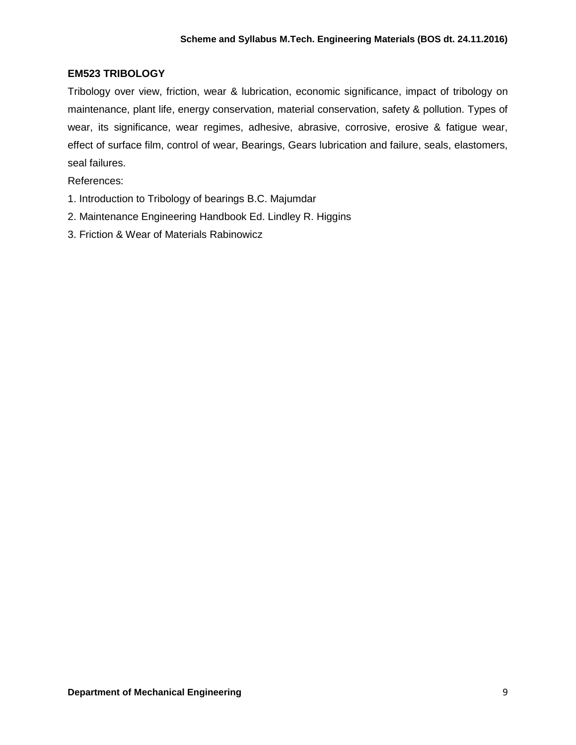## **EM523 TRIBOLOGY**

Tribology over view, friction, wear & lubrication, economic significance, impact of tribology on maintenance, plant life, energy conservation, material conservation, safety & pollution. Types of wear, its significance, wear regimes, adhesive, abrasive, corrosive, erosive & fatigue wear, effect of surface film, control of wear, Bearings, Gears lubrication and failure, seals, elastomers, seal failures.

- 1. Introduction to Tribology of bearings B.C. Majumdar
- 2. Maintenance Engineering Handbook Ed. Lindley R. Higgins
- 3. Friction & Wear of Materials Rabinowicz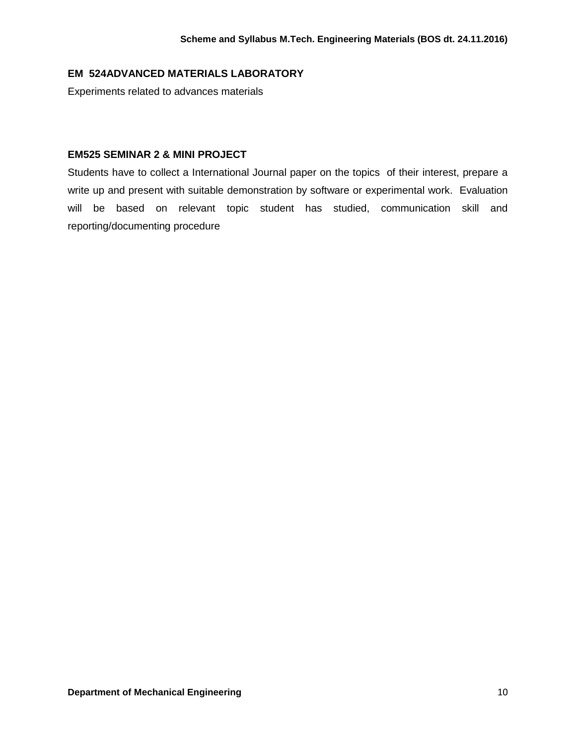# **EM 524ADVANCED MATERIALS LABORATORY**

Experiments related to advances materials

### **EM525 SEMINAR 2 & MINI PROJECT**

Students have to collect a International Journal paper on the topics of their interest, prepare a write up and present with suitable demonstration by software or experimental work. Evaluation will be based on relevant topic student has studied, communication skill and reporting/documenting procedure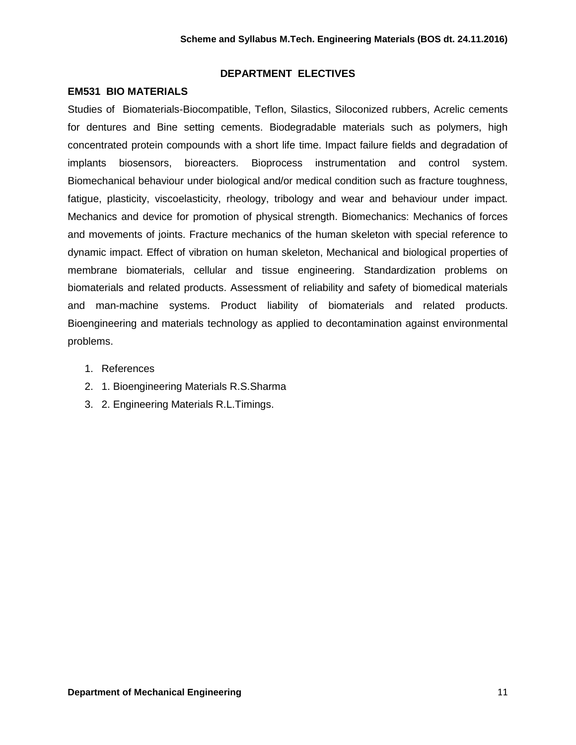#### **DEPARTMENT ELECTIVES**

#### **EM531 BIO MATERIALS**

Studies of Biomaterials-Biocompatible, Teflon, Silastics, Siloconized rubbers, Acrelic cements for dentures and Bine setting cements. Biodegradable materials such as polymers, high concentrated protein compounds with a short life time. Impact failure fields and degradation of implants biosensors, bioreacters. Bioprocess instrumentation and control system. Biomechanical behaviour under biological and/or medical condition such as fracture toughness, fatigue, plasticity, viscoelasticity, rheology, tribology and wear and behaviour under impact. Mechanics and device for promotion of physical strength. Biomechanics: Mechanics of forces and movements of joints. Fracture mechanics of the human skeleton with special reference to dynamic impact. Effect of vibration on human skeleton, Mechanical and biological properties of membrane biomaterials, cellular and tissue engineering. Standardization problems on biomaterials and related products. Assessment of reliability and safety of biomedical materials and man-machine systems. Product liability of biomaterials and related products. Bioengineering and materials technology as applied to decontamination against environmental problems.

- 1. References
- 2. 1. Bioengineering Materials R.S.Sharma
- 3. 2. Engineering Materials R.L.Timings.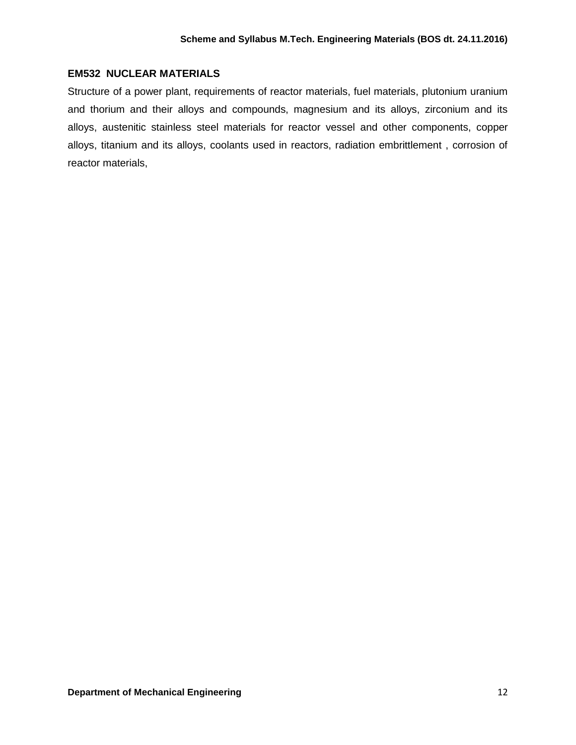### **EM532 NUCLEAR MATERIALS**

Structure of a power plant, requirements of reactor materials, fuel materials, plutonium uranium and thorium and their alloys and compounds, magnesium and its alloys, zirconium and its alloys, austenitic stainless steel materials for reactor vessel and other components, copper alloys, titanium and its alloys, coolants used in reactors, radiation embrittlement , corrosion of reactor materials,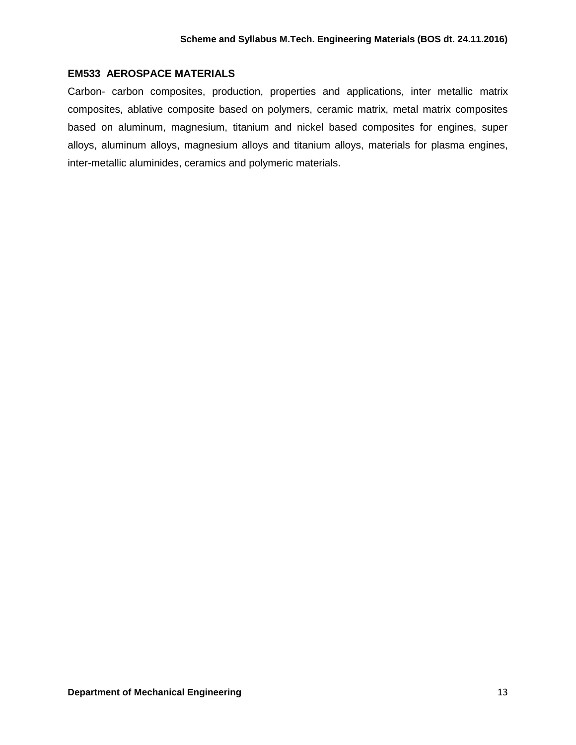### **EM533 AEROSPACE MATERIALS**

Carbon- carbon composites, production, properties and applications, inter metallic matrix composites, ablative composite based on polymers, ceramic matrix, metal matrix composites based on aluminum, magnesium, titanium and nickel based composites for engines, super alloys, aluminum alloys, magnesium alloys and titanium alloys, materials for plasma engines, inter-metallic aluminides, ceramics and polymeric materials.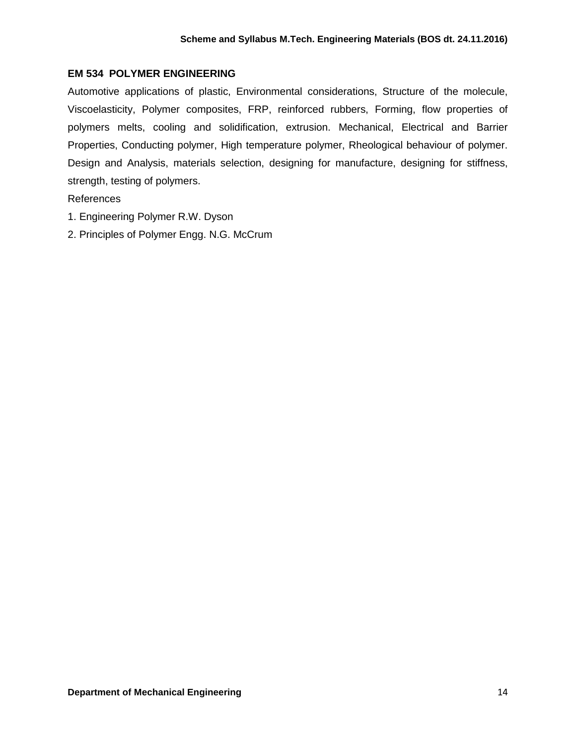# **EM 534 POLYMER ENGINEERING**

Automotive applications of plastic, Environmental considerations, Structure of the molecule, Viscoelasticity, Polymer composites, FRP, reinforced rubbers, Forming, flow properties of polymers melts, cooling and solidification, extrusion. Mechanical, Electrical and Barrier Properties, Conducting polymer, High temperature polymer, Rheological behaviour of polymer. Design and Analysis, materials selection, designing for manufacture, designing for stiffness, strength, testing of polymers.

- 1. Engineering Polymer R.W. Dyson
- 2. Principles of Polymer Engg. N.G. McCrum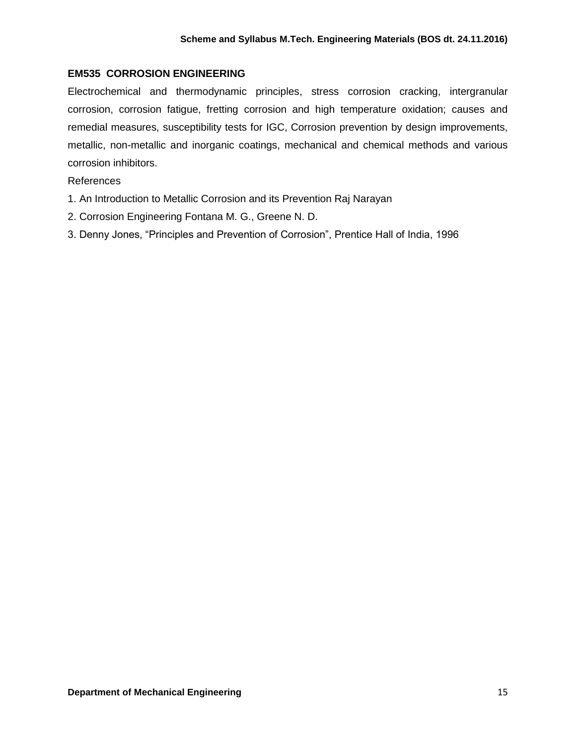# **EM535 CORROSION ENGINEERING**

Electrochemical and thermodynamic principles, stress corrosion cracking, intergranular corrosion, corrosion fatigue, fretting corrosion and high temperature oxidation; causes and remedial measures, susceptibility tests for IGC, Corrosion prevention by design improvements, metallic, non-metallic and inorganic coatings, mechanical and chemical methods and various corrosion inhibitors.

- 1. An Introduction to Metallic Corrosion and its Prevention Raj Narayan
- 2. Corrosion Engineering Fontana M. G., Greene N. D.
- 3. Denny Jones, "Principles and Prevention of Corrosion", Prentice Hall of India, 1996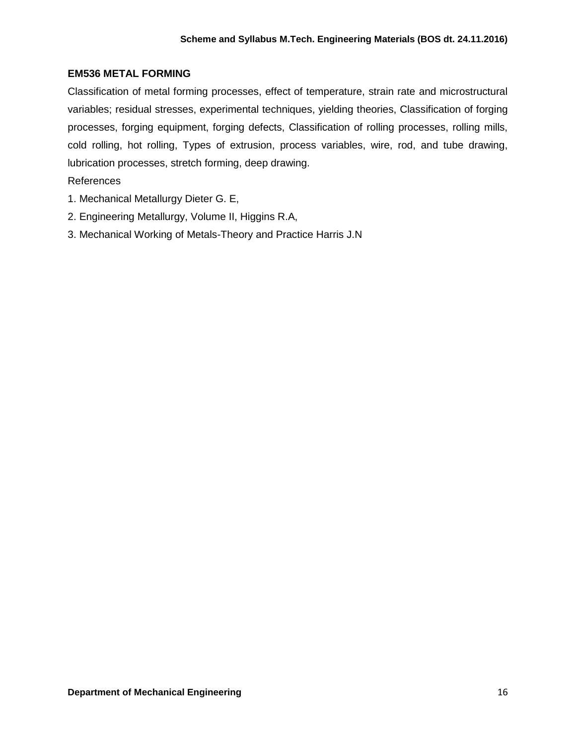# **EM536 METAL FORMING**

Classification of metal forming processes, effect of temperature, strain rate and microstructural variables; residual stresses, experimental techniques, yielding theories, Classification of forging processes, forging equipment, forging defects, Classification of rolling processes, rolling mills, cold rolling, hot rolling, Types of extrusion, process variables, wire, rod, and tube drawing, lubrication processes, stretch forming, deep drawing.

- 1. Mechanical Metallurgy Dieter G. E,
- 2. Engineering Metallurgy, Volume II, Higgins R.A,
- 3. Mechanical Working of Metals-Theory and Practice Harris J.N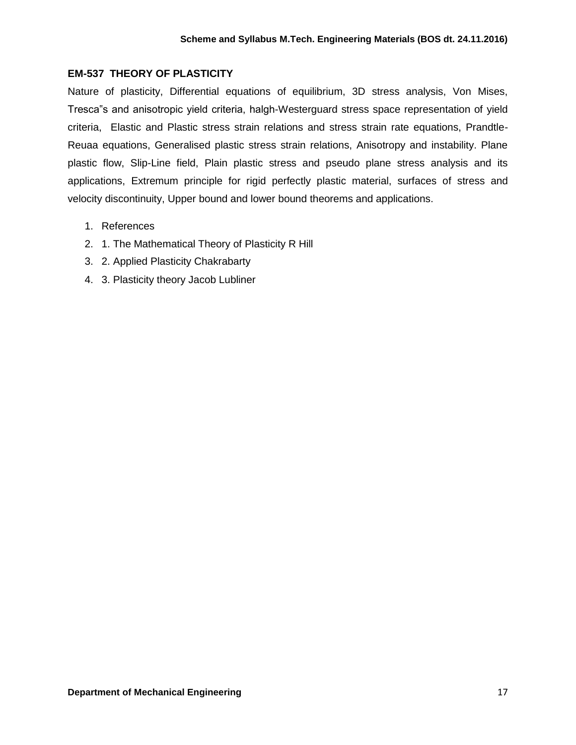## **EM-537 THEORY OF PLASTICITY**

Nature of plasticity, Differential equations of equilibrium, 3D stress analysis, Von Mises, Tresca"s and anisotropic yield criteria, halgh-Westerguard stress space representation of yield criteria, Elastic and Plastic stress strain relations and stress strain rate equations, Prandtle-Reuaa equations, Generalised plastic stress strain relations, Anisotropy and instability. Plane plastic flow, Slip-Line field, Plain plastic stress and pseudo plane stress analysis and its applications, Extremum principle for rigid perfectly plastic material, surfaces of stress and velocity discontinuity, Upper bound and lower bound theorems and applications.

- 1. References
- 2. 1. The Mathematical Theory of Plasticity R Hill
- 3. 2. Applied Plasticity Chakrabarty
- 4. 3. Plasticity theory Jacob Lubliner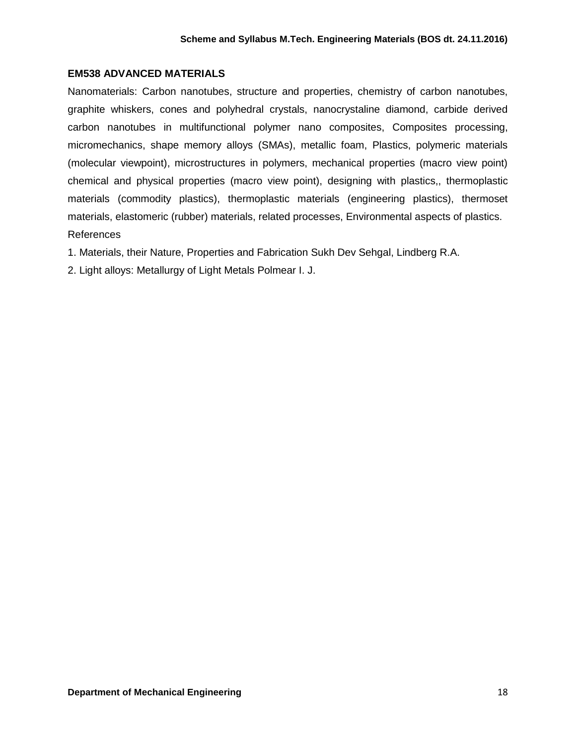### **EM538 ADVANCED MATERIALS**

Nanomaterials: Carbon nanotubes, structure and properties, chemistry of carbon nanotubes, graphite whiskers, cones and polyhedral crystals, nanocrystaline diamond, carbide derived carbon nanotubes in multifunctional polymer nano composites, Composites processing, micromechanics, shape memory alloys (SMAs), metallic foam, Plastics, polymeric materials (molecular viewpoint), microstructures in polymers, mechanical properties (macro view point) chemical and physical properties (macro view point), designing with plastics,, thermoplastic materials (commodity plastics), thermoplastic materials (engineering plastics), thermoset materials, elastomeric (rubber) materials, related processes, Environmental aspects of plastics. References

1. Materials, their Nature, Properties and Fabrication Sukh Dev Sehgal, Lindberg R.A.

2. Light alloys: Metallurgy of Light Metals Polmear I. J.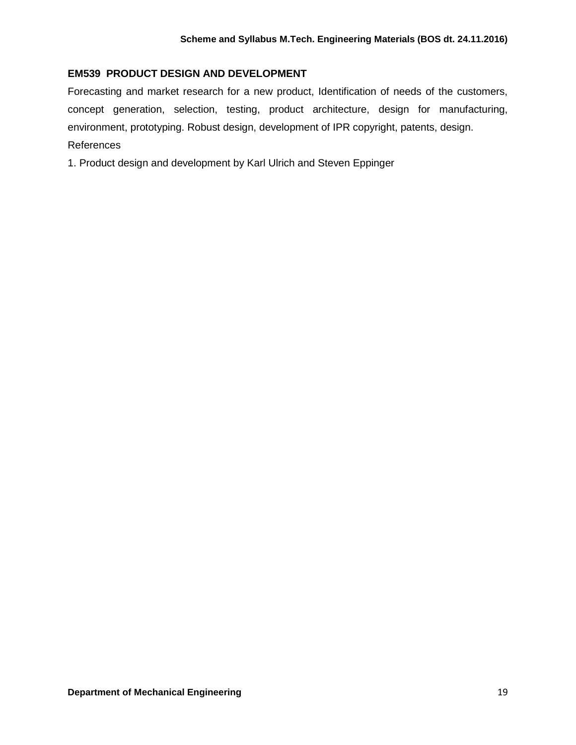# **EM539 PRODUCT DESIGN AND DEVELOPMENT**

Forecasting and market research for a new product, Identification of needs of the customers, concept generation, selection, testing, product architecture, design for manufacturing, environment, prototyping. Robust design, development of IPR copyright, patents, design. References

1. Product design and development by Karl Ulrich and Steven Eppinger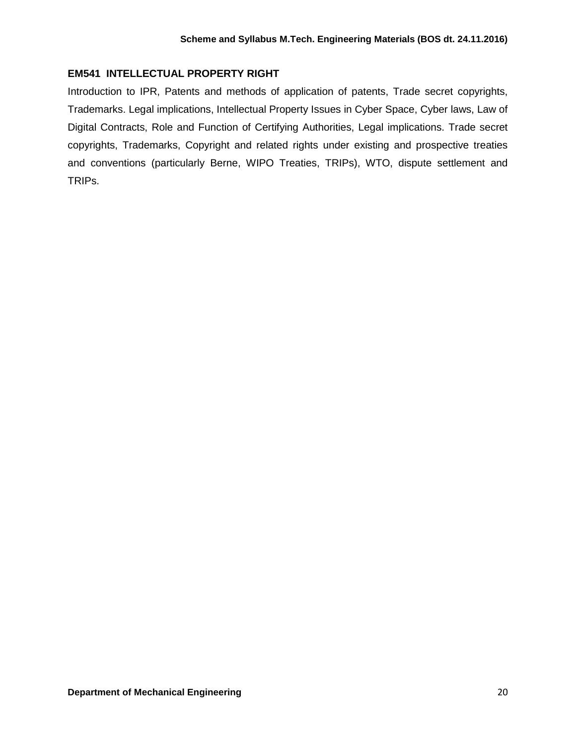# **EM541 INTELLECTUAL PROPERTY RIGHT**

Introduction to IPR, Patents and methods of application of patents, Trade secret copyrights, Trademarks. Legal implications, Intellectual Property Issues in Cyber Space, Cyber laws, Law of Digital Contracts, Role and Function of Certifying Authorities, Legal implications. Trade secret copyrights, Trademarks, Copyright and related rights under existing and prospective treaties and conventions (particularly Berne, WIPO Treaties, TRIPs), WTO, dispute settlement and TRIPs.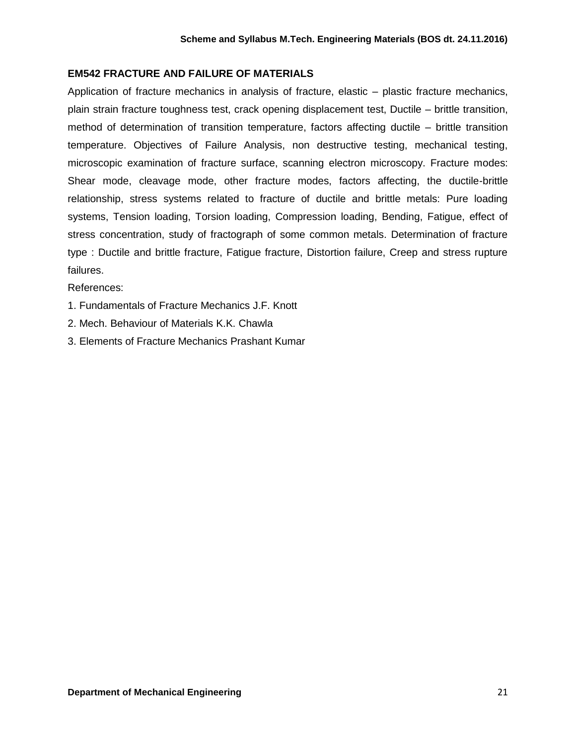# **EM542 FRACTURE AND FAILURE OF MATERIALS**

Application of fracture mechanics in analysis of fracture, elastic – plastic fracture mechanics, plain strain fracture toughness test, crack opening displacement test, Ductile – brittle transition, method of determination of transition temperature, factors affecting ductile – brittle transition temperature. Objectives of Failure Analysis, non destructive testing, mechanical testing, microscopic examination of fracture surface, scanning electron microscopy. Fracture modes: Shear mode, cleavage mode, other fracture modes, factors affecting, the ductile-brittle relationship, stress systems related to fracture of ductile and brittle metals: Pure loading systems, Tension loading, Torsion loading, Compression loading, Bending, Fatigue, effect of stress concentration, study of fractograph of some common metals. Determination of fracture type : Ductile and brittle fracture, Fatigue fracture, Distortion failure, Creep and stress rupture failures.

- 1. Fundamentals of Fracture Mechanics J.F. Knott
- 2. Mech. Behaviour of Materials K.K. Chawla
- 3. Elements of Fracture Mechanics Prashant Kumar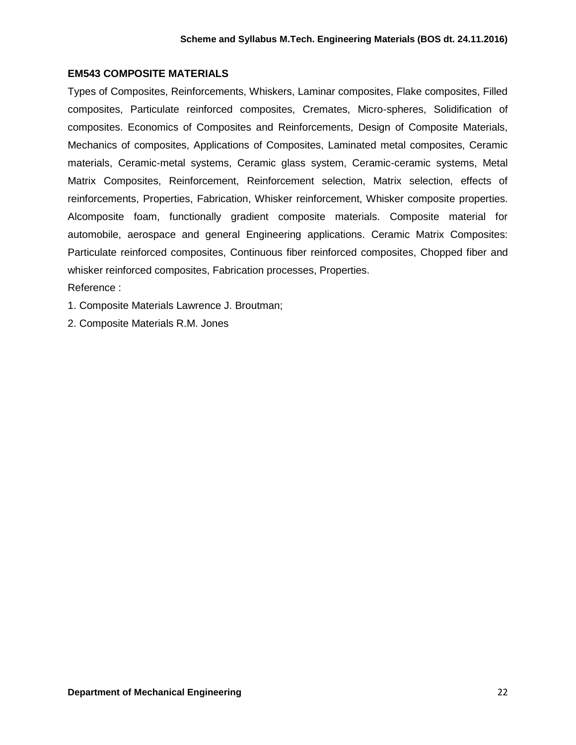### **EM543 COMPOSITE MATERIALS**

Types of Composites, Reinforcements, Whiskers, Laminar composites, Flake composites, Filled composites, Particulate reinforced composites, Cremates, Micro-spheres, Solidification of composites. Economics of Composites and Reinforcements, Design of Composite Materials, Mechanics of composites, Applications of Composites, Laminated metal composites, Ceramic materials, Ceramic-metal systems, Ceramic glass system, Ceramic-ceramic systems, Metal Matrix Composites, Reinforcement, Reinforcement selection, Matrix selection, effects of reinforcements, Properties, Fabrication, Whisker reinforcement, Whisker composite properties. Alcomposite foam, functionally gradient composite materials. Composite material for automobile, aerospace and general Engineering applications. Ceramic Matrix Composites: Particulate reinforced composites, Continuous fiber reinforced composites, Chopped fiber and whisker reinforced composites, Fabrication processes, Properties.

Reference :

1. Composite Materials Lawrence J. Broutman;

2. Composite Materials R.M. Jones